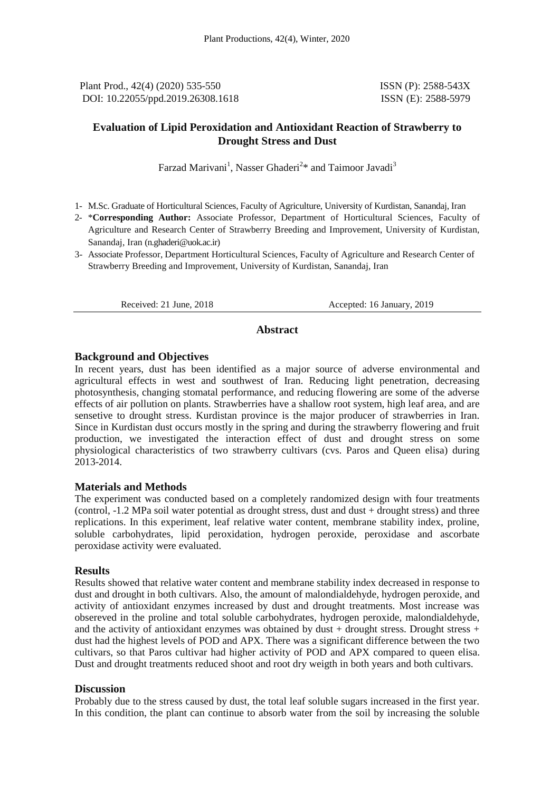Plant Prod., 42(4) (2020) 535-550 ISSN (P): 2588-543X DOI: 10.22055/ppd.2019.26308.1618 ISSN (E): 2588-5979

### **Evaluation of Lipid Peroxidation and Antioxidant Reaction of Strawberry to Drought Stress and Dust**

Farzad Marivani<sup>1</sup>, Nasser Ghaderi<sup>2\*</sup> and Taimoor Javadi<sup>3</sup>

- 1- M.Sc. Graduate of Horticultural Sciences, Faculty of Agriculture, University of Kurdistan, Sanandaj, Iran
- 2- \***Corresponding Author:** Associate Professor, Department of Horticultural Sciences, Faculty of Agriculture and Research Center of Strawberry Breeding and Improvement, University of Kurdistan, Sanandaj, Iran [\(n.ghaderi@uok.ac.ir\)](mailto:n.ghaderi@uok.ac.ir)
- 3- Associate Professor, Department Horticultural Sciences, Faculty of Agriculture and Research Center of Strawberry Breeding and Improvement, University of Kurdistan, Sanandaj, Iran

Received: 21 June, 2018 Accepted: 16 January, 2019

#### **Abstract**

### **Background and Objectives**

In recent years, dust has been identified as a major source of adverse environmental and agricultural effects in west and southwest of Iran. Reducing light penetration, decreasing photosynthesis, changing stomatal performance, and reducing flowering are some of the adverse effects of air pollution on plants. Strawberries have a shallow root system, high leaf area, and are sensetive to drought stress. Kurdistan province is the major producer of strawberries in Iran. Since in Kurdistan dust occurs mostly in the spring and during the strawberry flowering and fruit production, we investigated the interaction effect of dust and drought stress on some physiological characteristics of two strawberry cultivars (cvs. Paros and Queen elisa) during 2013-2014.

### **Materials and Methods**

The experiment was conducted based on a completely randomized design with four treatments (control, -1.2 MPa soil water potential as drought stress, dust and dust + drought stress) and three replications. In this experiment, leaf relative water content, membrane stability index, proline, soluble carbohydrates, lipid peroxidation, hydrogen peroxide, peroxidase and ascorbate peroxidase activity were evaluated.

#### **Results**

Results showed that relative water content and membrane stability index decreased in response to dust and drought in both cultivars. Also, the amount of malondialdehyde, hydrogen peroxide, and activity of antioxidant enzymes increased by dust and drought treatments. Most increase was obsereved in the proline and total soluble carbohydrates, hydrogen peroxide, malondialdehyde, and the activity of antioxidant enzymes was obtained by dust  $+$  drought stress. Drought stress  $+$ dust had the highest levels of POD and APX. There was a significant difference between the two cultivars, so that Paros cultivar had higher activity of POD and APX compared to queen elisa. Dust and drought treatments reduced shoot and root dry weigth in both years and both cultivars.

#### **Discussion**

Probably due to the stress caused by dust, the total leaf soluble sugars increased in the first year. In this condition, the plant can continue to absorb water from the soil by increasing the soluble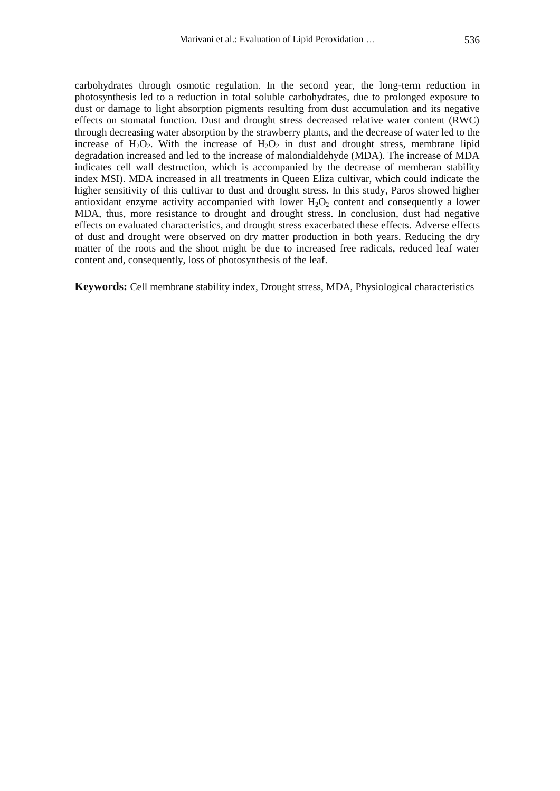carbohydrates through osmotic regulation. In the second year, the long-term reduction in photosynthesis led to a reduction in total soluble carbohydrates, due to prolonged exposure to dust or damage to light absorption pigments resulting from dust accumulation and its negative effects on stomatal function. Dust and drought stress decreased relative water content (RWC) through decreasing water absorption by the strawberry plants, and the decrease of water led to the increase of  $H_2O_2$ . With the increase of  $H_2O_2$  in dust and drought stress, membrane lipid degradation increased and led to the increase of malondialdehyde (MDA). The increase of MDA indicates cell wall destruction, which is accompanied by the decrease of memberan stability index MSI). MDA increased in all treatments in Queen Eliza cultivar, which could indicate the higher sensitivity of this cultivar to dust and drought stress. In this study, Paros showed higher antioxidant enzyme activity accompanied with lower  $H_2O_2$  content and consequently a lower MDA, thus, more resistance to drought and drought stress. In conclusion, dust had negative effects on evaluated characteristics, and drought stress exacerbated these effects. Adverse effects of dust and drought were observed on dry matter production in both years. Reducing the dry matter of the roots and the shoot might be due to increased free radicals, reduced leaf water content and, consequently, loss of photosynthesis of the leaf.

**Keywords:** Cell membrane stability index, Drought stress, MDA, Physiological characteristics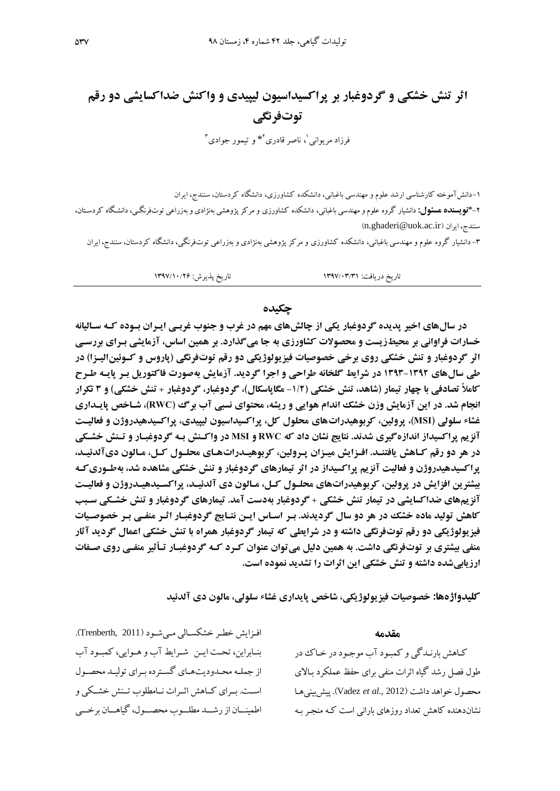## **اثر تنش خشکی و گردوغبار بر پراکسیداسیون لیپیدی و واکنش ضداکسایشی دو رقم توتفرنگی**

فرزاد مریوانی<sup>'</sup>، ناصر قادری<sup>۲</sup>\* و تیمور جوادی<sup>۳</sup>

-1دانشآموخته کارشناسی ارشد علوم و مهندسی باغبانی، دانشکده کشاورزی، دانشگاه کردستان، سنندج، ایران -2\***نویسنده مسئول:** دانشیار گروه علوم و مهندسی باغبانی، دانشکده کشاورزی و مرکز پژوهشی بهنژادی و بهزراعی توتفرنگیی، دانشیگاه کردسیتان ، )[n.ghaderi@uok.ac.ir](mailto:n.ghaderi@uok.ac.ir)( ایران ،سنندج

-3 دانشیار گروه علوم و مهندسی باغبانی، دانشکده کشاورزی و مرکز پژوهشی بهنژادی و بهزراعی توتفرنگی، دانشگاه کردستان، سنندج، ایران

تاریخ دریافت: 1395/03/31 تاریخ پذیرش: 1395/10/22

#### **چکیده**

**در سالهای اخیر پدیده گردوغبار یکی از چالشهای مهم در غرب و جنوب غربیی اییران بیوده کیل سیالیانل خسارات فراوانی بر محیطزیست و محصوالت کشاورزی بل جا میگذارد. بر همین اساس، آزمایشی بیرای بررسیی اثر گردوغبار و تنش خشکی روی برخی خصوصیات فیزیولوژیکی دو رقم توتفرنگی (پاروس و کـوئین|لیـزا) در طی سالهای 2939-2931 در شرایط گلخانل طراحی و اجرا گردید. آزمایش بلصورت فاکتوریل بیر پاییل طیر کامالً تصادفی با چهار تیمار )شاهد، تنش خشکی )-2/1 مگاپاسکال(، گردوغبار، گردوغبار + تنش خشکی( و 9 تکرار انجام شد. در این آزمایش وزن خشک اندام هوایی و ریشل، محتوای نسبی آب برگ )RWC)، شیاخ پاییداری غشاء سلولی )MSI)، پرولین، کربوهیدراتهای محلول کل، پراکسیداسیون لیپیدی، پراکسیدهیدروژن و فعالییت آنزیم پراکسیداز اندازهگیری شدند. نتایج نشان داد کل RWC و MSI در واکینش بیل گردوغبیار و تینش خشیکی در هر دو رقم کیاهش یافتنید . افیزایش مییزان پیرولین، کربوهییدرات هیای محلیول کیل، میالون دیآلدییید، پراکسیدهیدروژن و فعالیت آنزیم پراکسیداز در اثر تیمارهای گردوغبار و تنش خشکی مشاهده شد، بلطیوری کیل بیشترین افزایش در پرولین، کربوهیدراتهای محلـول کـل، مـالون دی آلدئیـد، پراکسـیدهیـدروژن و فعالیـت آنزیمهای ضداکسایشی در تیمار تنش خشکی + گردوغبار بلدست آمد. تیمارهای گردوغبار و تنش خشیکی سیب**  کاهش تولید ماده خشک در هر دو سال گردیدند. بـر اسـاس ایـن نتـایج گردوغبـار اثـر منفـی بـر خصوصـیات **فیزیولوژیکی دو رقم توتفرنگی داشتل و در شرایطی کل تیمار گردوغبار همراه با تنش خشکی اعمال گردید آثار منفی بیشتری بر توتفرنگی داشت. به همین دلیل می توان عنوان کرد که گردوغبـار تـأثیر منفـی روی صـفات ارزیابیشده داشتل و تنش خشکی این اثرات را تشدید نموده است.** 

**کلیدواژهها: خصوصیات فیزیولوژیکی، شاخص پایداری غشاء سلولی، مالون دی آلدئید** 

افیزایش خطبر خشکسیالی میی شود (Trenberth, 2011). بنیابراین، تحت ایین شیرایط آب و هیوایی، کمبیود آب از جملییه محییدودیتهییای گسییترده بییرای تولییید محصییول است. بیرای کیاهش اثیرات نیامطلوب تینش خشیکی و اطمینسان از رشسد مطلسوب محصسول، گیاهسان برخسی

#### **مقدمل**

کیاهش بارنیدگی و کمبیود آد موجیود در خیا در طول فصل رشد گیاه اثرات منفی برای حفظ عملکرد بیایی محصول خواهد داشت )2012 .,*al et* Vadez). پیشبینیهیا نشاندهنده کاهش تعداد روزهای بارانی است که منجر بـه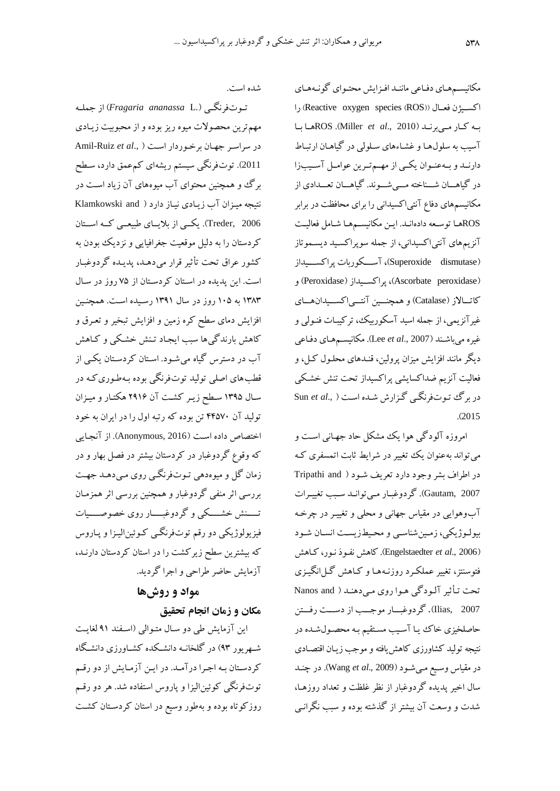شده است.

تیوتفرنگیی ).L *ananassa Fragaria* )از جملیه مهم ترین محصولات میوه ریز بوده و از محبوبیت زییادی در سراسیر جهیان برخیوردار اسیت ) .,*al et* Ruiz-Amil 2011). توتفرنگی سیستم ریشهای کمءعمق دارد، سطح برگ و همچنین محتوای آب میوههای آن زیاد است در نتیجه میزان آب زیادی نیاز دارد ( Klamkowski and 2006 ,Treder). یکییی از بایییای طبیعییی کییه اسییتان کردستان را به دلیل موقعیت جغرافیایی و نزدیک بودن به کشور عراق تحت تثثیر قرار میدهید، پدیید ه گردوغبیار است. این پدیده در استان کردستان از ۷۵ روز در سال 1383 به 107 روز در سال 1391 رسییده اسیت . همچنیی افزایش دمای سطح کره زمین و افزایش تبخیر و تعـرق و کاهش بارندگیها سبب ایریاد تینش خشیکی و کیاهش آد در دسترس گیاه میشیود . اسیتان کردسیتان یکیی از قطبهای اصلی تولید توتفرنگی بوده بـهطـوری کـه در سیال 1397 سی زییر کشیت آن 2912 هکتیار و مییزان تولید آن ۴۴۵۷۰ تن بوده که رتبه اول را در ایران به خود اختصاص داده است (Anonymous, 2016). از آنجایی که وقوع گردوغبار در کردستان بیشتر در فصل بهار و در زمان گل و میوهدهی تیوت فرنگیی روی میی دهید جهیت بررسی اثر منفی گردوغبار و همچنی بررسی اثر همزمیان تیییینش خشییییکی و گردوغبییییار روی خصوصیییییات فیزیولوژیکی دو رقم توتفرنگیی کـوئینالیـزا و پـاروس که بیشترین سطح زیرکشت را در استان کردستان دارنـد، آزمایش حاضر طراحی و اجرا گردید.

# **مواد و روشها**

## **مکان و زمان انجام تحقیق**

این آزمایش طی دو سال متوالی (اسفند ۹۱ لغایت شیهریور 93( در گلخانیه دانشیکده کشییاورزی دانشیگاه کردسیتان بیه اجیرا درآمید. در ایی آزمیایش از دو رقی توتفرنگی کوئین الیزا و پاروس استفاده شد. هر دو رقیم روزکوتاه بوده و بهطور وسیع در استان کردستان کشت

مکانیسی هیای دفیاعی ماننید افیزایش محتیوای گونیههیای اکسیژن فعـال (Reactive oxygen species (ROS)) را بییه کییار مییی برنیید )2010 .,*al et* Miller). ROSهییا بییا آسیب به سلولهیا و غشیااهای سیلولی در گیاهیان ارتبیا دارنید و بیهعنیوان یکمی از مهممترین عوامیل آسیبزا در گیاهـــان شـــناخته مــــیشـــوند. گیاهـــان تعـــدادی از مکانیس های دفاع آنتیاکسیدانی را برای محافظت در برابر ROSهیا توسیعه دادهانید. ایی مکانیسی هیا شیامل فعالییت آنزی های آنتیاکسیدانی، از جمله سوپراکسیید دیسیموتاز )dismutase Superoxide)، آسیییکوربات پراکسییییداز و(Peroxidase(پراکسیییداز ،(Ascorbate peroxidase( کاتیالاز (Catalase) و همچنیین آنتیهاکسیدانهیای غیرآنزیمی، از جمله اسید آسکوربیک، ترکیبیات فنیولی و غیره میباشیند )2007 .,*al et* Lee). مکانیسی هیای دفیاعی دیگر مانند افزایش میزان پرولین، قنـدهای محلـول کـل، و فعالیت آنزیم ضداکسایشی پراکسیداز تحت تنش خشکی در برگ تیوت فرنگیی گیزارش شیده اسیت ) .,*al et* Sun .)<sup>2015</sup>

امروزه آلودگی هوا یک مشکل حاد جهیانی اسیت و می تواند بهعنوان یک تغییر در شرایط ثابت اتمسفری ک در اطراف بشر وجود دارد تعریف شـود ( Tripathi and 2007 ,Gautam). گردوغبیار مییتوانید سیبب تغیییرات آدوهوایی در مقیاس جهانی و محلی و تغیییر در ررخی ه بیولـوژیکی، زمـینشناسـی و محـیطزیسـت انسـان شـود )2006 .,*al et* Engelstaedter). کاهش نفیو نیور، کیاهش فتوسنتز، تغییر عملکیرد روزنیه هیا و کیاهش گیل انگییزی تحت تیثثیر آلیودگی هیوا روی میی دهنید ) and Nanos 2007 ,Ilias). گردوغبیییار موجیییب از دسیییت رفیییت حاصلخیزی خا ییا آسییب مسیتقی بیه محصیول شیده در نتیره تولید کشاورزی کاهشیافته و موجب زییان اقتصیادی در مقیاس وسیی میی شیود )2009 .,*al et* Wang). در رنید سال اخیر پدیده گردوغبار از نظر غلظت و تعداد روزهیا، شدت و وسعت آن بیشتر از گذشته بوده و سبب نگرانیی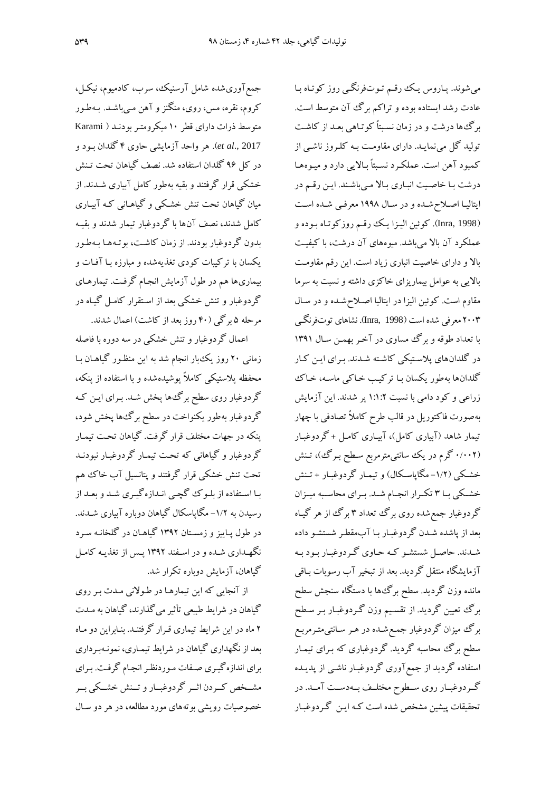جم آوریشده شامل آرسنیک، سرد، کادمیوم، نیکیل، کروم، نقره، مس، روی، منگنز و آهن مـیباشـد. بـهطـور متوسط ذرات دارای قطر ۱۰ میکرومتر بودنـد ( Karami 2017 .,*al et*). هر واحد آزمایشی حاوی 4 گلدان بیود و در کل 92 گلدان استفاده شد. نصف گیاهان تحت تینش خشکی قرار گرفتند و بقیه بهطور کامل آبیاری شیدند . از میان گیاهان تحت تنش خشیکی و گیاهیانی کیه آبییاری کامل شدند، نصف آنها با گردوغبار تیمار شدند و بقییه بدون گردوغبار بودند. از زمان کاشیت، بوتیه هیا بیه طیور یکسان با ترکیبات کودی تغذیهشده و مبارزه بیا آفیات و بیماریها هم در طول آزمایش انجام گرفت. تیمارهـای گردوغبار و تنش خشکی بعد از اسیتقرار کامیل گییاه در مرحله ۵ برگی (۴۰ روز بعد از کاشت) اعمال شدند.

اعمال گردوغبار و تنش خشکی در سه دوره با فاصله زمانی ۲۰ روز یک بار انجام شد به این منظور گیاهـان بـا محفظه پاستیکی کاما پوشیدهشده و با استفاده از پنکه، گردوغبار روی سطح برگ ها پخش شـد. بـرای ایـن کـه گردوغبار بهطور یکنواخت در سطح برگءها پخش شود، پنکه در جهات مختلف قرار گرفت. گیاهان تحیت تیمیار گردوغبار و گیاهانی که تحیت تیمیار گردوغبیار نبودنید تحت تنش خشکی قرار گرفتند و پتانسیل آد خا ه بیا اسیتفاده از بلیو گچیی انیدازهگییری شید و بعید از رسیدن به ۱/۲– مگاپاسکال گیاهان دوباره آبیاری شــدند. در طول پـاییز و زمسـتان ۱۳۹۲ گیاهـان در گلخانـه سـرد نگهیداری شیده و در اسیفند 1392 پیس از تغذییه کامیل گیاهان، آزمایش دوباره تکرار شد.

از آنجایی که این تیمارها در طولانی مـدت بـر روی گیاهان در شرایط طبیعی تأثیر میگذارند، گیاهان به مـدت 2 ماه در ای شرایآ تیماری قیرار گرفتنید . بنیابرای دو میاه بعد از نگهداری گیاهان در شرایآ تیمیاری، نمونیه بیرداری برای اندازهگییری صیفات میورد نظیر انریام گرفیت . بیرای مشییخص کییردن اثییر گردوغبییار و تیینش خشییکی بییر خصوصیات رویشی بوتههای موردم العه، در هر دو سیال

میشوند. پیاروس ییک رقی تیوت فرنگیی روز کوتیاه بیا عادت رشد ایستاده بوده و تراکم برگ آن متوسط است. برگها درشت و در زمان نسیبتا کوتیاهی بعید از کاشیت تولید گل مینمایید . دارای مقاومیت بیه کلیروز ناشیی از کمبود آهن است. عملکرد نسبتاً بالایی دارد و میـوههـا درشت با خاصیت انباری بالا می باشند. این رقم در ایتالییا اصیا شیده و در سیال 1998 معرفیی شیده اسیت )1998 ,Inra). کونی الییزا ییک رقی روزکوتیاه بیوده و عملکرد آن بای میباشد. میوههای آن درشت، با کیفییت بالا و دارای خاصیت انباری زیاد است. این رقم مقاومت باییی به عوامل بیماریزای خاکزی داشته و نسبت به سرما مقاوم است. کوئین الیزا در ایتالیا اصلاح شده و در سال 2003 معرفی شده است )1998 ,Inra). نشاهای توتفرنگیی با تعداد طوقه و برگ مساوی در آخیر بهمی سیال 1391 در گلدانهای پاسیتیکی کاشیته شیدند . بیرای ایی کیار گلدانها بهطور یکسان بیا ترکییب خیاکی ماسیه، خیا زراعی و کود دامی با نسبت 1:1:2 پر شدند. ای آزمایش بهصورت فاکتوریل در قالب طرح کاملاً تصادفی با چهار تیمار شاهد )آبیاری کامل(، آبییاری کامیل + گردوغبیار (۰/۰۰۲ گرم در یک سانتیمترمربع سطح بـرگ،)، تـنش خشکی (۱/۲-مگاپاسکال) و تیمار گردوغبار + تـنش خشییکی بییا 3 تکییرار انرییام شیید . بییرای محاسییبه میییزان گردوغبار جمع شده روی برگ تعداد ۳ برگ از هر گیـاه بعد از پاشده شیدن گردوغبیار بیا آد مق یر شستشیو داده شیدند. حاصیل شستشیو کیه حیاوی گیردوغبیار بیود بیه آزمایشگاه منتقل گردید. بعد از تبخیر آد رسوبات بیاقی مانده وزن گردید. سطح برگءها با دستگاه سنجش سطح برگ تعیین گردید. از تقسیم وزن گردوغبار بـر سـطح برگ میزان گردوغبار جمی شیده در هیر سیانتی متی رمربی س برگ محاسبه گردید. گردوغباری که بیرای تیمیار استفاده گردید از جم آوری گردوغبیار ناشیی از پدییده گـردوغبــار روی ســطوح مختلــف بــهدســت آمــد. در تحقیقات پیشی مشخص شده است کیه ایی گیرد وغبیار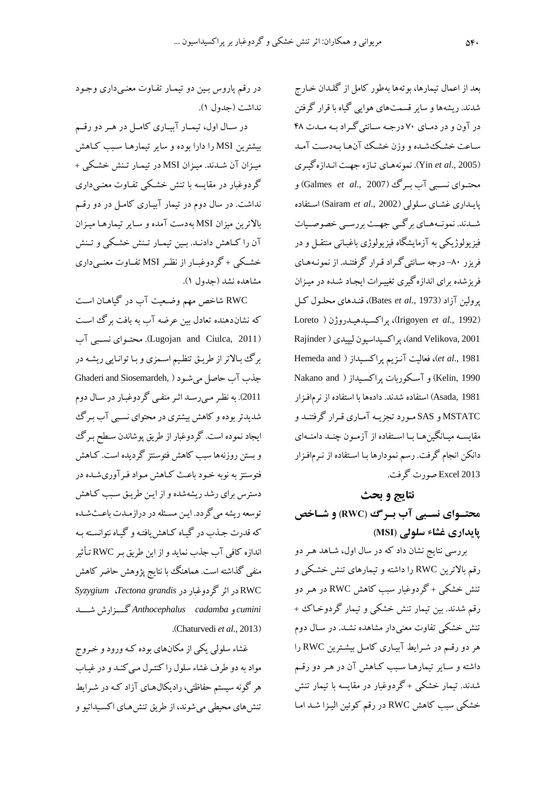بعد از اعمال تیمارها، بوتهها بهطور کامل از گلیدان خیارج شدند. ریشهها و سایر قسمتهای هوایی گیاه با قرار گرفت در آون و در دمییای 50 درجییه سییانتیگییراد بییه مییدت 48 سیاعت خشیک شیده و وزن خشیک آن هیا بیه دسیت آمید )2005 .,*al et* Yin). نمونههیای تیازه جهیت انیدازه گییری محتییوای نسییبی آد بییرگ )2007 .,*al et* Galmes )و پاییداری غشیای سیلولی )2002 .,*al et* Sairam )اسیتفاده شییدند. نمونییههییای برگییی جهییت بررسییی خصوصیییات فیزیولوکیکی به آزمایشگاه فیزیولوکی باغبیانی منتقیل و در فریزر -80 درجه سیانتی گیراد قیرار گرفتنید . از نمونیه هیای فریزشده برای اندازهگیری تغیییرات ایریاد شیده در مییزان پرولی آزاد )1973 .,*al et* Bates)، قنیدهای محلیول کیل Loreto ( هییدروکن پراکسیید ،(Irigoyen *et al*., 1992( Rajinder ( لیپیدی پراکسیداسیون ،(and Velikova, 2001 Hemeda and ( پراکسییداز آنیزی فعالیت ،(*et al*., 1981 1990 ,Kelin و آسکوربات پراکسیداز ( Nakano and 1981 ,Asada )استفاده شدند. دادهها با استفاده از نرمافیزار MSTATC و SAS میورد ترزییه آمیاری قیرار گرفتنید و مقایسـه میـانگینهـا بـا اسـتفاده از آزمـون چنـد دامنـهای دانکن انجام گرفت. رسم نمودارها بـا اسـتفاده از نـرمافـزار <sup>2013</sup> Excel صورت گرفت.

## **نتایج و بحث محتییوای نسییبی آب بییرگ )RWC )و شییاخ پایداری غشاء سلولی )MSI)**

بررسی نتایج نشان داد که در سال اول، شیاهد هیر دو رقم بالاترین RWC را داشته و تیمارهای تنش خشکی و تنش خشکی + گردوغبار سبب کاهش RWC در هیر دو رقم شدند. بین تیمار تنش خشکی و تیمار گردوخـاک + تنش خشکی تفاوت معنیدار مشاهده نشید . در سیال دوم هر دو رقم در شـرایط آبیـاری کامـل بیشـترین RWC را داشته و سیایر تیمارهیا سیبب کیاهش آن در هیر دو رقی شدند. تیمار خشکی + گردوغبار در مقایسه با تیمار تنش خشکی سبب کاهش RWC در رقم کوئین الیـزا شـد امـا

در رقم پاروس بین دو تیمار تفاوت معنی داری وجود نداشت (جدول ١).

در سال اول، تیمار آبیاری کامل در هر دو رقیم بیشتری MSI را دارا بوده و سایر تیمارهیا سیبب کیاهش مییزان آن شیدند . مییزان MSI در تیمیار تینش خشیکی + گردوغبار در مقایسه با تنش خشیکی تفیاوت معنیی داری نداشت. در سال دوم در تیمار آبییاری کامیل در دو رقی بایتری میزان MSI بهدست آمده و سیایر تیمارهیا مییزان آن را کیاهش دادنید. بیی تیمیار تینش خشیکی و تینش خشییکی + گردوغبییار از نظییر MSI تفییاوت معنییی داری مشاهده نشد )جدول 1(.

RWC شاخص مه وضیعیت آد در گیاهیان اسیت که نشاندهنده تعادل بین عرضه آب به بافت برگ است )2011 ,Ciulca and Lugojan). محتییوای نسییبی آد برگ بالاتر از طریـق تنظـیم اسـمزی و بـا توانـایی ریشـه در جذد آد حاصل میشیود ) ,Siosemardeh and Ghaderi <sup>2011</sup>(. به نظیر میی رسید اثیر منفیی گردوغبیار در سیال دوم شدیدتر بوده و کاهش بیشتری در محتوای نسیبی آد بیرگ ایجاد نموده است. گردوغبار از طریق پوشاندن سطح بـرگ و بستن روزنهها سبب کاهش فتوسنتز گردیده است. کـاهش فتوسنتز به نوبه خیود باعیک کیاهش میواد فیرآوری شیده در دسترس برای رشد ریشهشده و از ایی طرییق سیبب کیاهش توسعه ریشه میگردد. ایی مسیهله در درازمیدت باعیک شیده که قدرت جیذد در گییاه کیاهش یافتیه و گییاه نتوانسیته بیه اندازه کافی آد جذد نماید و از ای طریق بیر RWC تیثثیر منفی گذاشته است. هماهنگ با نتایج پژوهش حاضر کاهش *Syzygium* ،*Tectona grandis* گردوغباردر اثر در RWC *cumini* و *cadamba Anthocephalus* گییییزارش شیییید .)Chaturvedi *et al*., 2013(

غشاء سلولی یکی از مکانهای بوده کـه ورود و خـروج مواد به دو طرف غشاا سلول را کنتیرل میی کنید و در غییاد هر گونه سیستم حفاظتی، رادیکال۵حای آزاد کـه در شـرایط تنشهای محیطی می شوند، از طریق تنشهای اکسیداتیو و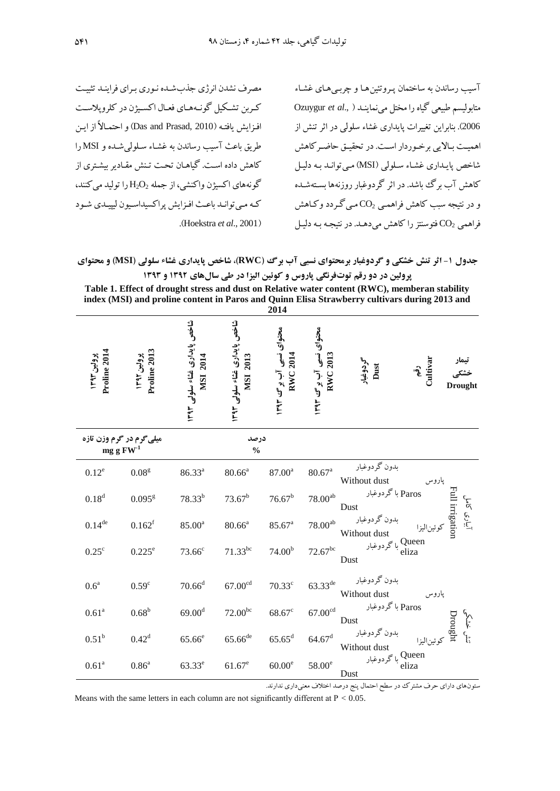مصرف نشدن انرژی جذب شده نوری برای فرایند تثبیت کربن تشکیل گونـههـای فعـال اکسـیژن در کلروپلاسـت افیزایش یافتـه (Das and Prasad, 2010) و احتمـالاً از ایــن طریق باعک آسیب رساندن به غشیاا سیلولی شیده و MSI را کاهش داده اسیت . گیاهیان تحیت تینش مقیادیر بیشیتری از گونههای اکسیژن واکنشی، از جمله  $\rm H_2O_2$  را تولید میکنند، کیه مییتوانید باعیک افیزایش پراکسیداسییون لیپییدی شیود .)Hoekstra *et al*., 2001(

آسیب رساندن به ساختمان پیروتهی هیا و رربیی هیای غشیاا متابولیس طبیعی گیاه را مختل مینماینید ) .,*al et* Ozuygur <sup>2006</sup>(. بنابرای تغییرات پایداری غشاا سلولی در اثر تنش از اهمییت بیاییی برخیوردار اسیت. در تحقییق حاضیرکاهش شاخص پاییداری غشیاا سیلولی )MSI )میی توانید بیه دلییل کاهش آد برگ باشد. در اثر گردوغبار روزنهها بسیته شیده و در نتیره سبب کاهش فراهمیی 2CO میی گیردد وکیاهش فراهمی 2CO فتوسنتز را کاهش میدهید . در نتیریه بیه دلییل

**جدول -2 اثر تنش خشکی و گردوغبار برمحتوای نسبی آب برگ )RWC)، شاخ پایداری غشاء سلولی )MSI )و محتوای پرولین در دو رقم توتفرنگی پاروس و کویین الیزا در طی سالهای 2931 و 2939**

| Table 1. Effect of drought stress and dust on Relative water content (RWC), memberan stability |
|------------------------------------------------------------------------------------------------|
| index (MSI) and proline content in Paros and Quinn Elisa Strawberry cultivars during 2013 and  |
| 201 <i>1</i>                                                                                   |

|                             |                                                                                     |                                                  |                                                 | 2014                                       |                                             |                                        |                 |
|-----------------------------|-------------------------------------------------------------------------------------|--------------------------------------------------|-------------------------------------------------|--------------------------------------------|---------------------------------------------|----------------------------------------|-----------------|
| Proline 2014<br>پرويين ١٣٩٣ | Proline 2013<br>پرولین ۱۳۹۲                                                         | شاخص پایداری غشاء سلولی ۱۳۹۳<br><b>NISI 2014</b> | شاخص پایداری غشاء سلولی ۱۳۹۳<br><b>MSI 2013</b> | محتواى نسبى آب برگ ۱۳۹۳<br><b>RWC 2014</b> | محتواى نسبى آب بوسى ١٣٩٣<br><b>RWC 2013</b> | رقم<br>Cultivar<br>گردوغبار<br>Dust    | <b>Drought</b>  |
|                             | میلی گرم در گرم وزن تازه<br>درصد<br>mg g $\mathrm{FW}^{\text{-}1}$<br>$\frac{0}{0}$ |                                                  |                                                 |                                            |                                             |                                        |                 |
| $0.12^e$                    | 0.08 <sup>g</sup>                                                                   | $86.33^{a}$                                      | $80.66^a$                                       | $87.00^a$                                  | $80.67^{\rm a}$                             | بدون گردوغبار<br>Without dust<br>پاروس |                 |
| $0.18^{d}$                  | $0.095$ <sup>g</sup>                                                                | $78.33^{b}$                                      | $73.67^b$                                       | $76.67^b$                                  | $78.00^{\rm ab}$                            | Paros با گردوغبار<br>Dust              | Full irrigatior |
| $0.14$ <sup>de</sup>        | 0.162 <sup>f</sup>                                                                  | $85.00^{\rm a}$                                  | $80.66^{\rm a}$                                 | $85.67^{\rm a}$                            | $78.00^{\rm ab}$                            | بدون گردوغبار<br>Without dust          | آبیاری کامل     |
| $0.25^{\circ}$              | $0.225$ <sup>e</sup>                                                                | $73.66^{\circ}$                                  | $71.33^{bc}$                                    | 74.00 <sup>b</sup>                         | $72.67^{\rm bc}$                            | Queen باگردوغبار<br>eliza<br>Dust      |                 |
| 0.6 <sup>a</sup>            | 0.59 <sup>c</sup>                                                                   | $70.66^d$                                        | $67.00^{\rm cd}$                                | $70.33^{\circ}$                            | $63.33^{de}$                                | بدون گردوغبار<br>Without dust<br>پاروس |                 |
| 0.61 <sup>a</sup>           | 0.68 <sup>b</sup>                                                                   | 69.00 <sup>d</sup>                               | $72.00^{bc}$                                    | $68.67$ <sup>c</sup>                       | $67.00^{\rm cd}$                            | Paros باگردوغبار<br>Dust               | Drought         |
| 0.51 <sup>b</sup>           | $0.42^d$                                                                            | $65.66$ <sup>e</sup>                             | $65.66^{\rm de}$                                | $65.65^d$                                  | $64.67$ <sup>d</sup>                        | بدون گردوغبار<br>Without dust          | نش خشكم         |
| 0.61 <sup>a</sup>           | 0.86 <sup>a</sup>                                                                   | $63.33^e$                                        | $61.67^e$                                       | $60.00^e$                                  | $58.00^{\rm e}$                             | Queen<br>با گردوغبار<br>eliza<br>Dust  |                 |

ستونهای دارای حرف مشترک در سطح احتمال پنج درصد اختلاف معنیداری ندارند.

Means with the same letters in each column are not significantly different at P *<* 0.05.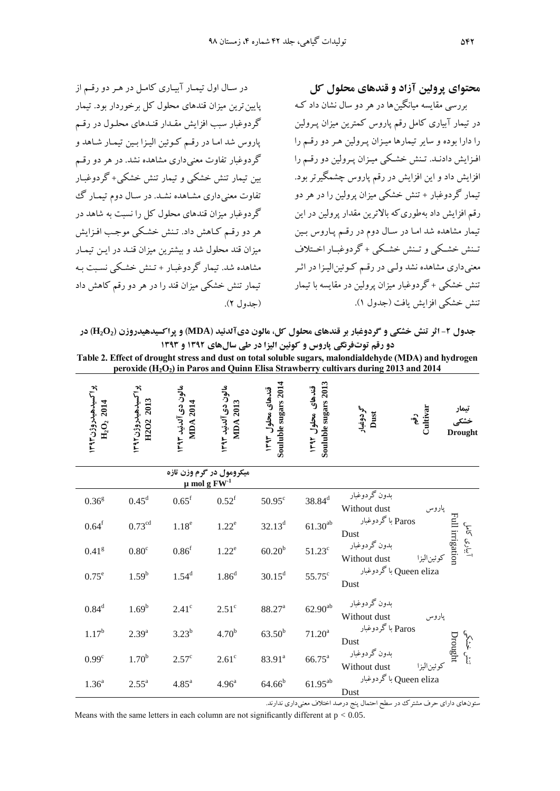در سیال اول تیمیار آبییاری کامیل در هیر دو رقی از پایین ترین میزان قندهای محلول کل برخوردار بود. تیمار گردوغبار سبب افزایش مقیدار قنیدهای محلیول در رقی پاروس شد امیا در رقی کیونی الییزا بیی تیمیار شیاهد و گردوغبار تفاوت معنیداری مشاهده نشد. در هر دو رقی بی تیمار تنش خشکی و تیمار تنش خشکی+ گردوغبیار تفاوت معنیداری مشیاهده نشید . در سیال دوم تیمیار گ گردوغبار میزان قندهای محلول کل را نسبت به شاهد در هر دو رقی کیاهش داد . تینش خشیکی موجیب افیزایش میزان قند محلول شد و بیشتری میزان قنید در ایی تیمیار مشاهده شد. تیمار گردوغبیار + تینش خشیکی نسیبت بیه تیمار تنش خشکی میزان قند را در هر دو رق کاهش داد )جدول 2(. **محتوای پرولین آزاد و قندهای محلول کل**

بررسی مقایسه میانگی ها در هر دو سال نشان داد کیه در تیمار آبیاری کامل رقم پاروس کمترین میزان پـرولین را دارا بوده و سایر تیمارها مییزان پیرولی هیر دو رقی را افـزایش دادنـد. تـنش خشـکی میـزان پـرولین دو رقـم را افزایش داد و این افزایش در رقم پاروس چشمگیرتر بود. تیمار گردوغبار + تنش خشکی میزان پرولین را در هر دو رقم افزایش داد بهطوری که بالاترین مقدار پرولین در این تیمار مشاهده شد اما در سال دوم در رقیم پاروس بین تیینش خشییکی و تیینش خشییکی + گردوغبییار اخییتاف معنی داری مشاهده نشد ولـی در رقـم کـوئینالیـزا در اثـر تنش خشکی + گردوغبار میزان پرولین در مقایسه با تیمار تنش خشکی افزایش یافت )جدول 1(.

**جدول -1 اثر تنش خشکی و گردوغبار بر قندهای محلول کل، مالون دیآلدیید )MDA )و پراکسیدهیدروزن )2O2H )در دو رقم توتفرنگی پاروس و کویین الیزا در طی سالهای 2931 و 2939 Table 2. Effect of drought stress and dust on total soluble sugars, malondialdehyde (MDA) and hydrogen peroxide (H2O2) in Paros and Quinn Elisa Strawberry cultivars during 2013 and 2014**

| ぺ<br>ব<br>a<br>ন<br>$\mathbf{a}$<br>$\overline{\phantom{0}}$<br>.<br>دن<br>$\mathbf{H}_2$<br>ᡫ | $\sim$<br>$\mathbf{B}$<br>=<br>ন<br>$\mathbf{S}$<br>↷<br>۰<br>$\tilde{\mathcal{E}}$<br>$\mathbf{\Omega}$<br>ᄇ<br>ᡒ | $\epsilon$<br>٠ı<br>₹<br><b>S</b><br>0<br>$\sim$<br>⋖<br>$\mathbf{a}$<br>≘<br>Բ<br>- | $\bullet$<br>$\mathbf{r}$<br>G)<br>$\mathbf{z}$<br>⋖<br>$\mathbf{P}$<br>⊟<br>-<br>ఆ<br>廴 | ፥ጣ<br>−<br>$\overline{20}$<br>sugars<br>ᠯ<br>$\mathbf{c}$<br>¢<br>uluble<br>£<br>-<br>Š | $\tilde{\phantom{a}}$<br>ា<br>ਵ<br>$\overline{a}$<br>s<br><b>S</b><br>۲<br>suga<br>$\mathbf{a}$<br>٥<br>Ξ<br>Ē<br>ᢦ<br>ಹೆ | št<br>3<br>٠u<br>≘<br>ᅐ | ↷<br>Ë<br>$: \bullet$ | نیمار<br>شده م<br><b>Drought</b> |
|------------------------------------------------------------------------------------------------|--------------------------------------------------------------------------------------------------------------------|--------------------------------------------------------------------------------------|------------------------------------------------------------------------------------------|-----------------------------------------------------------------------------------------|---------------------------------------------------------------------------------------------------------------------------|-------------------------|-----------------------|----------------------------------|
|------------------------------------------------------------------------------------------------|--------------------------------------------------------------------------------------------------------------------|--------------------------------------------------------------------------------------|------------------------------------------------------------------------------------------|-----------------------------------------------------------------------------------------|---------------------------------------------------------------------------------------------------------------------------|-------------------------|-----------------------|----------------------------------|

| میکرومول در گرم وزن تازه<br>$\mu$ mol g $FW-1$ |                    |                   |                   |                    |                    |                                                                                                   |
|------------------------------------------------|--------------------|-------------------|-------------------|--------------------|--------------------|---------------------------------------------------------------------------------------------------|
| 0.36 <sup>g</sup>                              | $0.45^{\rm d}$     | $0.65^{\rm f}$    | $0.52^{\rm f}$    | $50.95^{\circ}$    | $38.84^d$          | بدون گردوغبار<br>Without dust<br>پاروس                                                            |
| $0.64^{\rm f}$                                 | $0.73^{\text{cd}}$ | 1.18 <sup>e</sup> | $1.22^e$          | $32.13^{d}$        | $61.30^{\rm ab}$   | 띱<br>Paros باگردوغبار<br>کلاک<br>Dust                                                             |
| 0.41 <sup>g</sup>                              | 0.80 <sup>c</sup>  | 0.86 <sup>f</sup> | $1.22^e$          | $60.20^{b}$        | $51.23^{\circ}$    | irrigation<br>$\sum_{i=1}^{n}$<br>بدون گردوغبار<br>كوئين اليزا<br>Without dust                    |
| $0.75^e$                                       | $1.59^{b}$         | $1.54^{d}$        | 1.86 <sup>d</sup> | $30.15^d$          | $55.75^{\circ}$    | Queen eliza باگردوغبار<br>Dust                                                                    |
| $0.84^d$                                       | $1.69^{b}$         | $2.41^\circ$      | $2.51^\circ$      | 88.27 <sup>a</sup> | $62.90^{ab}$       | بدون گردوغبار<br>Without dust<br>پاروس                                                            |
| $1.17^{b}$                                     | $2.39^{a}$         | $3.23^{b}$        | 4.70 <sup>b</sup> | $63.50^{b}$        | $71.20^a$          | Paros باگردوغبار<br>Dust                                                                          |
| 0.99 <sup>c</sup>                              | $1.70^{b}$         | $2.57^{\circ}$    | $2.61^\circ$      | 83.91 <sup>a</sup> | $66.75^{\text{a}}$ | Drought<br>بدون گردوغبار<br>$\overline{\mathcal{E}}^{\mathcal{E}}$<br>كوئين اليزا<br>Without dust |
| 1.36 <sup>a</sup>                              | $2.55^{\circ}$     | 4.85 <sup>a</sup> | 4.96 <sup>a</sup> | $64.66^{b}$        | $61.95^{\rm ab}$   | Queen eliza باگردوغبار<br>Dust                                                                    |

ستونهای دارای حرف مشترک در سطح احتمال پنج درصد اختلاف معنیداری ندارند.

Means with the same letters in each column are not significantly different at p *<* 0.05.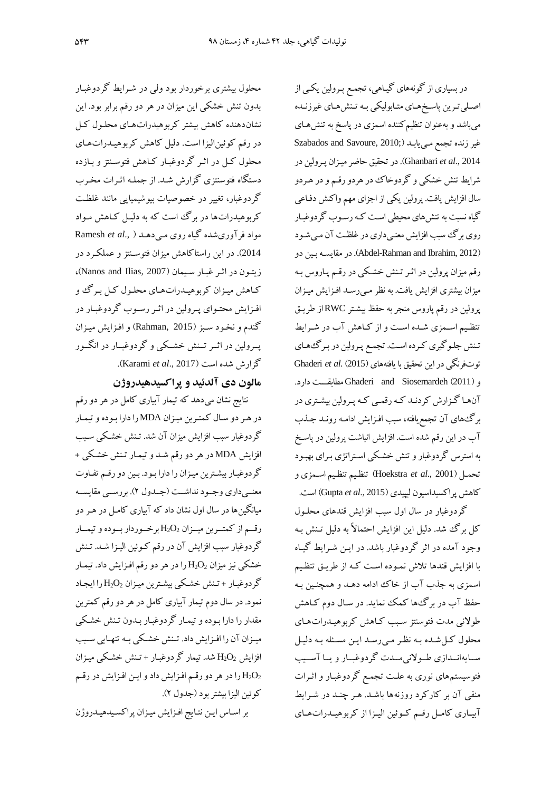محلول بیشتری برخوردار بود ولی در شیرایآ گردوغبیار بدون تنش خشکی این میزان در هر دو رقم برابر بود. این نشاندهنده کاهش بیشتر کربوهیدراتهیای محلیول کیل در رقم کوئین الیزا است. دلیل کاهش کربوهیـدراتهـای محلول کیل در اثیر گردوغبیار کیاهش فتوسینتز و بیازده دستگاه فتوسنتزی گزارش شید . از جملیه اثیرات مخیرد گردوغبار، تغییر در خصوصیات بیوشیمیایی مانند غلظیت کربوهیدراتها در برگ است که به دلییل کیاهش میواد مواد فرآوریشده گیاه روی میی دهید ) .,*al et* Ramesh 2014). در این راستاکاهش میزان فتوسـنتز و عملکـرد در زیتیون در اثیر غبیار سییمان )2007 ,Ilias and Nanos)، کیاهش مییزان کربوهییدراتهیای محلیول کیل بیرگ و افیزایش محتیوای پیرولی در اثیر رسیود گردوغبیار در گندم و نخیود سیبز )2015 ,Rahman )و افیزایش مییزان پییرولی در اثییر تیینش خشییکی و گردوغبییار در انگییور گزارش شده است )2017 .,*al et* Karami).

## **مالون دی آلدیید و پراکسیدهیدروژن**

نتایج نشان میدهد که تیمار آبیاری کامل در هر دو رق در هیر دو سیال کمتیری مییزان MDA را دارا بیوده و تیمیار گردوغبار سبب افزایش میزان آن شد. تینش خشیکی سیبب افزایش MDA در هر دو رقم شـد و تیمـار تـنش خشـكى + گردوغبار بیشترین میزان را دارا بود. بین دو رقم تفاوت معنیییداری وجییود نداشییت )جییدول 2(. بررسییی مقایسییه میانگی ها در سال اول نشان داد که آبیاری کامیل در هیر دو رقیم از کمتیرین مییزان  $\mathrm{H}_2\mathrm{O}_2$  برخوردار بیوده و تیمیار گردوغبار سبب افزایش آن در رقم کـوئین الیـزا شــد. تـنش خشکی نیز میزان  $\rm H_2O_2$  را در هر دو رقم افـزایش داد. تیمـار گردوغبار + تنش خشکی بیشترین میزان  $\rm H_2O_2$ را ایجاد نمود. در سال دوم تیمار آبیاری کامل در هر دو رقم کمترین مقدار را دارا بیوده و تیمیار گردوغبیار بیدون تینش خشیکی مییزان آن را افیزایش داد. تیینش خشیکی بییه تنهییایی سییبب افزایش  $\rm H_2O_2$  شد. تیمار گردوغبـار + تـنش خشـكی میـزان را در هر دو رقم افزایش داد و ایـن افـزایش در رقـم  $\rm H_2O_2$ کونی الیزا بیشتر بود )جدول 2(.

براسیاس ایی نتیایج افیزایش مییزان پراکسیید هییدروکن

در بسیاری از گونههای گیاهی، تجمع پـرولین یکـی از اصلی ترین پاسـخهای متـابولیکی بـه تـنش،هـای غیرزنـده میباشد و بهعنوان تنظی کننده اسمزی در پاسخ به تنشهیای غیر زنده تجمع می یابـد (Szabados and Savoure, 2010; 2014 .,*al et* Ghanbari). در تحقیق حاضر مییزان پیرولی در شرایآ تنش خشکی و گردوخا در هردو رقی و در هیردو سال افزایش یافت. پرولی یکی از اجزای مه واکنش دفیاعی گیاه نسبت به تنش%ای محیطی است کـه رسـوب گردوغبـار روی برگ سبب افزایش معنی داری در غلظت آن میی شود دو بیی درمقایسیه .(Abdel-Rahman and Ibrahim, 2012( رقم میزان پرولین در اثـر تـنش خشـکی در رقـم پـاروس بـه میزان بیشتری افزایش یافت. به نظر میی رسید افیزایش مییزان پرولین در رقم پاروس منجر به حفظ بیشـتر RWCاز طریـق تنظیم اسمزی شده است و از کاهش آب در شرایط تنش جلوگیری کرده است. تجمع پرولین در برگههای توتفرنگی در این تحقیق با یافتههای (2015) Ghaderi et al. (2015 و)2011( Siosemardeh and Ghaderi م ابقیییت دارد. آنهیا گیزارش کردنید کیه رقمیی کیه پیرولی بیشیتری در برگ های آن تجمع یافته، سبب افـزایش ادامـه رونـد جـذب آب در این رقم شده است. افزایش انباشت پرولین در پاسخ به استرس گردوغبار و تنش خشیکی اسیتراتژی بیرای بهبیود تحمیل )2001 .,*al et* Hoekstra )تنظیی تنظیی اسیمزی و کاهش پراکسیداسیون لیپیدی )2015 .,*al et* Gupta )است.

گردوغبار در سال اول سبب افزایش قندهای محلیول کل برگ شد. دلیل این افزایش احتمالاً به دلیل تینش بیه وجود آمده در اثر گردوغبار باشد. در ایی شیرایآ گییاه با افزایش قندها تاش نمیوده اسیت کیه از طرییق تنظیی اسمزی به جذب آب از خاک ادامه دهـد و همچنـین بـه حفظ آد در برگها کمک نماید. در سیال دوم کیاهش طوینی مدت فتوسنتز سیبب کیاهش کربوهییدرات هیای محلول کیل شیده بیه نظیر میی رسید ایی مسیهله بیه دلییل سییایهانییدازی طییوینی مییدت گردوغبییار و یییا آسیییب فتوسیست های نوری به علیت ترمی گردوغبیار و اثیرات منفی آن بر کارکرد روزنهها باشد. هـر چنـد در شـرایط آبییاری کامیل رقی کییونی الیییزا از کربوهیییدراتهییای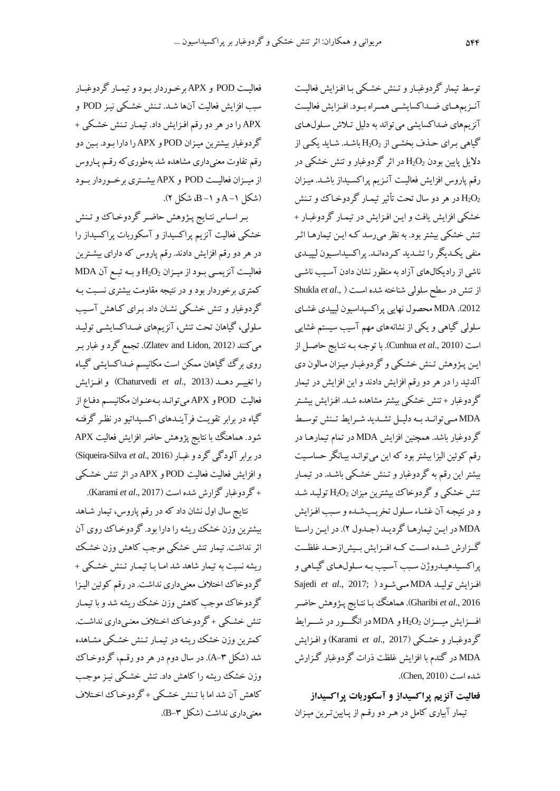فعالیییت POD و APX برخییوردار بییود و تیمییار گردوغبییار سبب افزایش فعالیت آنها شید . تینش خشیکی نییز POD و APX را در هر دو رق افیزایش داد . تیمیار تینش خشیکی + گردوغباربیشتری مییزان POD و APX را دارا بیود . بیی دو رقم تفاوت معنیداری مشاهده شد بهطوریکه رقیم پـاروس از میییزان فعالیییت POD و APX بیشییتری برخییوردار بییود )شکل -1 <sup>A</sup> و -1B، شکل 2(.

بیر اسیاس نتیایج پیژوهش حاضیر گردوخیا و تینش خشکی فعالیت آنزیم پراکسیداز و آسکوربات پراکسیداز را در هر دو رقم افزایش دادند. رقم پاروس که دارای بیشترین فعالیییت آنزیمییی بییود از میییزان 2O2<sup>H</sup> و بییه تبیی آن MDA کمتری برخوردار بود و در نتیره مقاومت بیشتری نسیبت بیه گردوغبار و تنش خشیکی نشیان داد . بیرای کیاهش آسییب سلولی، گیاهان تحت تنش، آنزیمهای ضـداکسایشـی تولیـد میکنند )2012 ,Lidon and Zlatev). ترم گرد و غبار بیر روی برگ گیاهان ممکن است مکانیسم ضداکسایشی گیـاه را تغییییر دهیید )2013 .,*al et* Chaturvedi )و افییزایش فعالیت POD و APX میتوانید بیه عنیوان مکانیسی دفیاع از گیاه در برابر تقوییت فرآینیدهای اکسییداتیو در نظیر گرفتیه شود. هماهنگ با نتایج پژوهش حاضر افزایش فعالیت APX در برابر آلودگیگرد و غبیار )2016 .,*al et* Silva-Siqueira) و افزایش فعالیت فعالیت POD و APX در اثر تنش خشیکی + گردوغبار گزارش شده است )2017 .,*al et* Karami).

نتایج سال اول نشان داد که در رقم پاروس، تیمار شـاهد بیشتری وزن خشک ریشه را دارا بود. گردوخیا روی آن اثر نداشت. تیمار تنش خشکی موجب کاهش وزن خشیک ریشه نسبت به تیمار شاهد شد امیا بیا تیمیار تینش خشیکی + گردوخاک اختلاف معنیداری نداشت. در رقم کوئین الیـزا گردوخا موجب کاهش وزن خشک ریشه شد و با تیمیار تنش خشکی + گردوخیاک اختلاف معنی داری نداشت. کمترین وزن خشک ریشه در تیمـار تـنش خشـکی مشـاهده شد (شکل ۳–A). در سال دوم در هر دو رقـم، گردوخـاک وزن خشک ریشه را کاهش داد. تنش خشیکی نییز موجیب کاهش آن شد اما با تینش خشیکی + گردوخیا اخیتاف معنی داری نداشت (شکل ۳-B).

توسط تیمار گردوغبار و تینش خشکی بیا افزایش فعالیت آنیزیمهمای ضیداکسایشیی همراه بیود. افیزایش فعالییت آنزیمهای ضداکسایشی می تواند به دلیل تیلاش سلولهای گیاهی برای حذف بخشی از  $\rm H_2O_2$  باشد. شاید یکی از دلایل پایین بودن  $\rm H_2O_2$  در اثر گردوغبار و تنش خشکی در رقم پاروس افزایش فعالیت آنـزیم پراکسـیداز باشـد. میـزان در هر دو سال تحت تأثیر تیمـار گردوخـاکـُ و تـنش خشکی افزایش یافت و ایی افیزایش در تیمیار گردوغبیار + تنش خشکی بیشتر بود. به نظر میرسد کیه ایی تیمارهیا اثیر منفی یکیدیگر را تشیدید کیرده انید . پراکسیداسییون لیپییدی ناشی از رادیکالهای آزاد به منظور نشان دادن آسییب ناشیی از تنش در سطح سلولی شناخته شده است ( ,Shukla et al <sup>2012</sup>(. MDA محصول نهایی پراکسیداسیون لیپیدی غشیای سلولی گیاهی و یکی از نشانههای مهم آسیب سیستم غشایی است )2010 .,*al et* Cunhua). با توجیه بیه نتیایج حاصیل از ایی پیژوهش تینش خشیکی و گردوغبیار مییزان میالون دی آلدنید را در هر دو رق افزایش دادند و ای افزایش در تیمار گردوغبار + تنش خشکی بیشتر مشاهده شید . افیزایش بیشیتر MDA میییتوانیید بییه دلیییل تشییدید شییرایآ تیینش توسییآ گردوغبار باشد. همچنی افزایش MDA در تمام تیمارهیا در رقم کوئین الیزا بیشتر بود که این میتوانید بییانگر حساسیت بیشتر این رقم به گردوغبار و تـنش خشـکی باشـد. در تیمـار تنش خشکی و گردوخاک بیشترین میزان  $\rm H_2O_2$  تولیـد شـد و در نتیجه آن غشاء سلول تخریبشده و سبب افزایش MDA در ایی تیمارهیا گردییید )جیدول 2(. در ایی راسییتا گییزارش شییده اسییت کییه افییزایش بیییش ازحیید غلظییت پراکسیدهیدروژن سبب آسیب به سلولهای گیاهی و Sajedi *et al*., 2017; ( مییشیود MDA تولیید افیزایش 2016 .,*al et* Gharibi). هماهنگ بیا نتیایج پیژوهش حاضیر افیییزایش مییییزان 2O2<sup>H</sup> و MDA در انگیییور در شیییرایآ گردوغبیار و خشیکی )2017 .,*al et* Karami )و افیزایش MDA در گندم با افزایش غلظت رات گردوغبار گیزارش شده است (Chen, 2010).

**فعالیت آنزیم پراکسیداز و آسکوربات پراکسیداز**

تیمار آبیاری کامل در هر دو رقـم از پـایینترین میـزان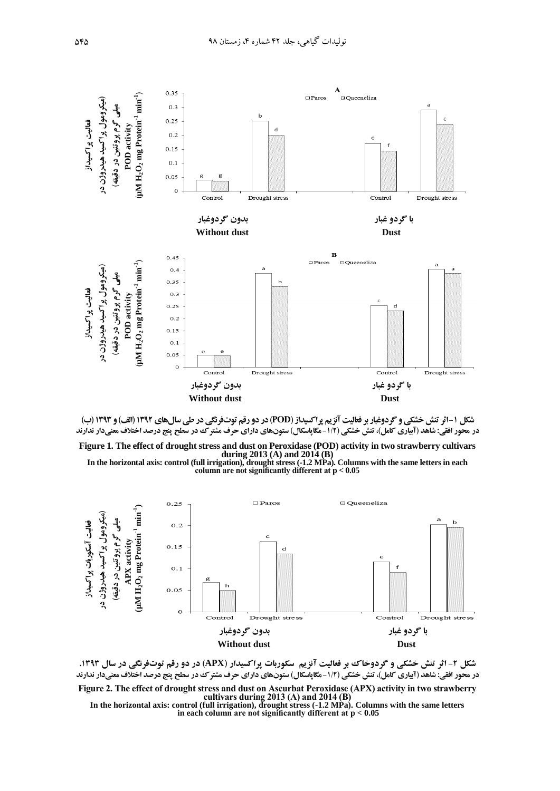



**Figure 1. The effect of drought stress and dust on Peroxidase (POD) activity in two strawberry cultivars during 2013 (A) and 2014 (B)** 

**In the horizontal axis: control (full irrigation), drought stress (-1.2 MPa). Columns with the same letters in each column are not significantly different at p** *<* **0.05**



**شکل -1 اثر تنش خشکی و گردوخاک بر فعالیت آنزیم سکوربات پراکسیدار )APX )در دو رقم توتفرنگی در سال .2939 در محور افقی: شاهد (آبیاری کامل)، تنش خشکی (۱/۲ –مگاپاسکال) ستونهای دارای حرف مشترک در سطح پنج درصد اختلاف معنیدار ندارند Figure 2. The effect of drought stress and dust on Ascurbat Peroxidase (APX) activity in two strawberry cultivars during 2013 (A) and 2014 (B)**

**In the horizontal axis: control (full irrigation), drought stress (-1.2 MPa). Columns with the same letters in each column are not significantly different at p** *<* **0.05**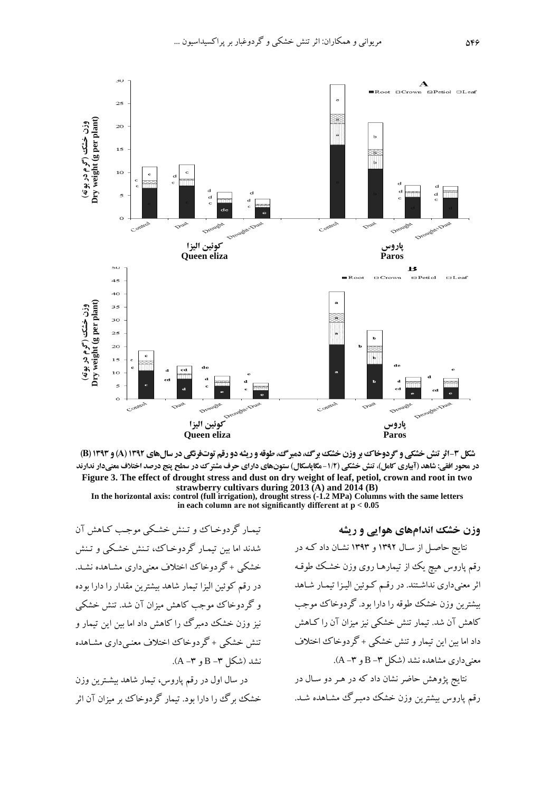



**In the horizontal axis: control (full irrigation), drought stress (-1.2 MPa) Columns with the same letters in each column are not significantly different at p** *<* **0.05**

تیمیار گردوخیا و تینش خشیکی موجیب کیاهش آن شدند اما بین تیمـار گردوخـاک، تـنش خشـکی و تـنش خشکی + گردوخاک اختلاف معنی داری مشاهده نشد. در رقم کوئین الیزا تیمار شاهد بیشترین مقدار را دارا بوده و گردوخا موجب کاهش میزان آن شد. تنش خشکی نیز وزن خشک دمبرگ را کاهش داد اما بین این تیمار و تنش خشکی + گردوخاک اختلاف معنبی داری مشاهده نشد (شکل ۳− B و ۳−A).

در سال اول در رقم پاروس، تیمار شاهد بیشترین وزن خشک برگ را دارا بود. تیمار گردوخا بر میزان آن اثر **وزن خشک اندامهای هوایی و ریشل**

نتایج حاصیل از سیال 1392 و 1393 نشیان داد کیه در رقم پاروس هیچ یک از تیمارهـا روی وزن خشک طوقـه اثر معنیداری نداشتند. در رقم کوئین الیزا تیمار شاهد بیشترین وزن خشک طوقه را دارا بود. گر دوخاک موجب کاهش آن شد. تیمار تنش خشکی نیز میزان آن را کیاهش داد اما بین این تیمار و تنش خشکی + گردوخاک اختلاف  $(A - T)$ و  $B - B - B$  و  $(A - A)$ ).

نتایج پژوهش حاضر نشان داد که در هیر دو سیال در رقم پاروس بیشترین وزن خشک دمبرگ مشاهده شـد.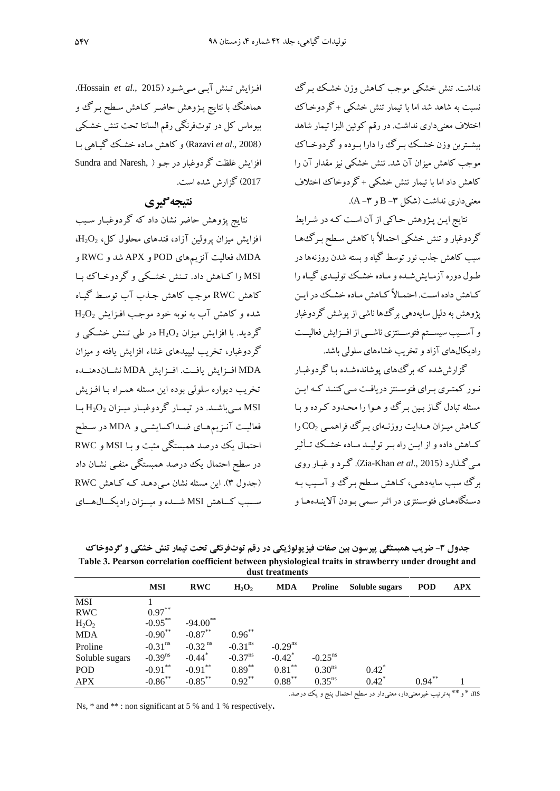نداشت. تنش خشکی موجب کیاهش وزن خشیک بیرگ نسبت به شاهد شد اما با تیمار تنش خشکی + گردوخیا اختلاف معنیداری نداشت. در رقم کوئین الیزا تیمار شاهد بیشترین وزن خشک بسرگ را دارا بموده و گردوخیاک موجب کاهش میزان آن شد. تنش خشکی نیز مقدار آن را کاهش داد اما با تیمار تنش خشکی + گردوخا اختاف  $(A - T \theta) = B - T \theta$ و  $A - A$ ).

نتایج این پیژوهش حاکی از آن است که در شرایط گردوغبار و تنش خشکی احتمالاً با کاهش سطح بـرگءهـا سبب کاهش جذب نور توسط گیاه و بسته شدن روزنهها در طیول دوره آزمیایششیده و میاده خشیک تولییدی گییاه را کیاهش داده است. احتمیالاً کیاهش میاده خشیک در ایین پژوهش به دلیل سایهدهی برگها ناشی از پوشش گردوغبار و آســیب سیســتم فتوســنتزی ناشــی از افــزایش فعالیــت رادیکالهای آزاد و تخریب غشااهای سلولی باشد.

گزارششده که برگهای پوشاندهشیده بیا گردوغبیار نیور کمتییری بییرای فتوسینتز دریافیت میی کننید کیه ایی مسهله تبادل گیاز بیی بیرگ و هیوا را محیدود کیرده و بیا کیاهش مییزان هیدایت روزنیه ای بیرگ فراهمیی 2CO را کییاهش داده و از اییی راه بییر تولییید مییاده خشییک تییثثیر میی گیذارد )2015 .,*al et* Khan-Zia). گیرد و غبیار روی برگ سبب سایهدهیی، کیاهش سی بیرگ و آسییب بیه دسیتگاههیای فتوسینتزی در اثیر سیمی بیودن آیینیدههیا و

افیزایش تینش آبیی مییشیود )2015 .,*al et* Hossain). هماهنگ با نتایج پـژوهش حاضـر کـاهش سـطح بـرگ و بیوماس کل در توتفرنگی رقم السانتا تحت تنش خشکی )2008 .,*al et* Razavi )و کاهش میاده خشیک گییاهی بیا افزایش غلظت گردوغبار در جیو ) ,Naresh and Sundra <sup>2017</sup>( گزارش شده است.

## **نتیجلگیری**

نتایج پژوهش حاضر نشان داد که گردوغبیار سیبب افزایش میزان پرولین آزاد، قندهای محلول کل،  $O_2$ ،  $H_2O_2$ MDA، فعالیت آنزی های POD و APX شد و RWC و MSI را کییاهش داد. تیینش خشییکی و گردوخییا بییا کاهش RWC موجب کاهش جیذد آد توسیآ گییاه شده و کاهش آد به نوبه خود موجیب افیزایش 2O2<sup>H</sup> گردید. با افزایش میزان 2O2<sup>H</sup> در طی تینش خشیکی و گردوغبار، تخریب لیپیدهای غشاء افزایش یافته و میزان MDA افییزایش یافییت . افییزایش MDA نشییاندهنییده تخریب دیواره سلولی بوده این مسئله همیراه بیا افیزیش MSI میییباشیید. در تیمییار گردوغبییار میییزان 2O2<sup>H</sup> بییا فعالیت آنـزیمهمای ضـداکسایشـی و MDA در سـطح احتمال یک درصد همبستگی م بت و بیا MSI و RWC در سطح احتمال یک درصد همبستگی منفـی نشـان داد )جدول 3(. ای مسهله نشان میی دهید کیه کیاهش RWC سیییبب کیییاهش MSI شیییده و مییییزان رادیکیییال هیییای

جدول **۳- ضریب همبستگی پیرسون بین صفات فیزیولوژیکی در رقم توتفرنگی تحت تیمار تنش خشکی و گردوخاک Table 3. Pearson correlation coefficient between physiological traits in strawberry under drought and dust treatments**

|                | <b>MSI</b>            | <b>RWC</b>            | $H_2O_2$              | <b>MDA</b>            | <b>Proline</b>        | Soluble sugars      | <b>POD</b> | <b>APX</b>  |  |
|----------------|-----------------------|-----------------------|-----------------------|-----------------------|-----------------------|---------------------|------------|-------------|--|
| <b>MSI</b>     |                       |                       |                       |                       |                       |                     |            |             |  |
| <b>RWC</b>     | $0.97***$             |                       |                       |                       |                       |                     |            |             |  |
| $H_2O_2$       | $-0.95***$            | $-94.00$ **           |                       |                       |                       |                     |            |             |  |
| <b>MDA</b>     | $-0.90**$             | $-0.87***$            | $0.96***$             |                       |                       |                     |            |             |  |
| Proline        | $-0.31$ <sup>ns</sup> | $-0.32$ <sup>ns</sup> | $-0.31$ <sup>ns</sup> | $-0.29$ <sup>ns</sup> |                       |                     |            |             |  |
| Soluble sugars | $-0.39$ <sup>ns</sup> | $-0.44$ <sup>*</sup>  | $-0.37$ <sup>ns</sup> | $-0.42$ <sup>*</sup>  | $-0.25$ <sup>ns</sup> |                     |            |             |  |
| POD            | $-0.91***$            | $-0.91***$            | $0.89***$             | $0.81***$             | 0.30 <sup>ns</sup>    | $0.42^*$            |            |             |  |
| <b>APX</b>     | $-0.86$ **            | $-0.85***$            | $0.92***$             | $0.88***$             | $0.35^{ns}$           | $0.42$ <sup>*</sup> | $0.94***$  |             |  |
|                |                       |                       |                       |                       |                       |                     |            | about about |  |

Ns, \* and \*\* : non significant at 5 % and 1 % respectively**.**

ns، \* و\*\* بهترتیب غیرمعنیدار، معنیدار در س احتمال پنج و یک درصد.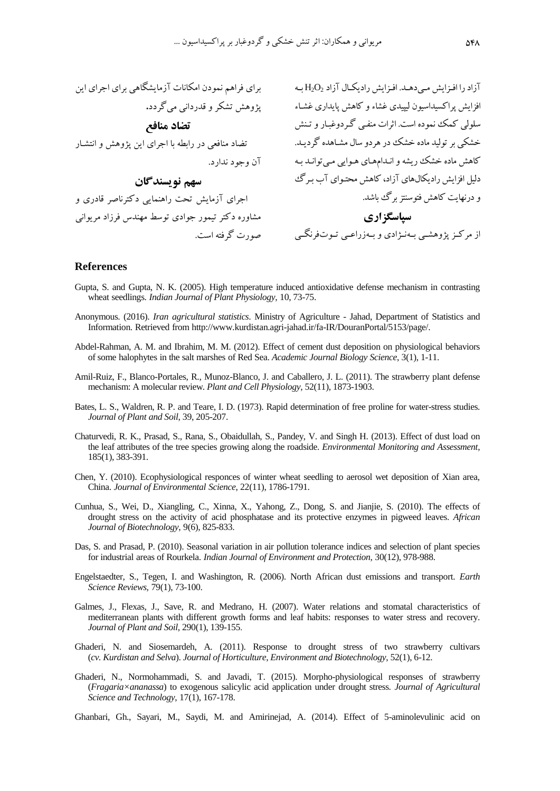آزاد را افـزایش مـیدهـد. افـزایش رادیکـال آزاد  $\rm H_2O_2$  بـه  $\rm H_2$  برای فراهم نمودن امکانات آزمایشگاهی برای اجرای این پژوهش تشکر و قدردانی میگردد**. تضاد منافع** تصاد منافعی در رابطه با اجرای این پژوهش و انتشار **سهم نویسندگان** اجرای آزمایش تحت راهنمایی دکترناصر قادری و مشاوره دکتر تیمور جوادی توسط مهندس فرزاد مریوانی

افزایش پراکسیداسیون لیپیدی غشاء و کاهش پایداری غشـاء<br>سلولی کمک نموده است. اثرات منفـی گـردوغبـار و تـنش سلولی کمک نموده است. اثرات منفیی گیردو غبیار و تینش خشکی بر تولید ماده خشک در هردو سال مشیاهده گردیید . کاهش ماده خشک ریشه و انیدام هیای هیوایی میی توانید بیه آن وجود ندارد. دلیل افزایش رادیکالهای آزاد، کاهش محتیوای آد بیرگ و درنهایت کاهش فتوسنتز برگ باشد. **سپاسگزاری** از مرکیز پژوهشیی بیهنیژادی و بیهزراعیی تییوتفرنگیی صورت گرفته است.

#### **References**

- Gupta, S. and Gupta, N. K. (2005). High temperature induced antioxidative defense mechanism in contrasting wheat seedlings. *Indian Journal of Plant Physiology*, 10, 73-75.
- Anonymous. (2016). *Iran agricultural statistics*. Ministry of Agriculture Jahad, Department of Statistics and Information. Retrieved from http://www.kurdistan.agri-jahad.ir/fa-IR/DouranPortal/5153/page/.
- Abdel-Rahman, A. M. and Ibrahim, M. M. (2012). Effect of cement dust deposition on physiological behaviors of some halophytes in the salt marshes of Red Sea. *Academic Journal Biology Science*, 3(1), 1-11.
- Amil-Ruiz, F., Blanco-Portales, R., Munoz-Blanco, J. and Caballero, J. L. (2011). The strawberry plant defense mechanism: A molecular review. *Plant and Cell Physiology*, 52(11), 1873-1903.
- Bates, L. S., Waldren, R. P. and Teare, I. D. (1973). Rapid determination of free proline for water-stress studies. *Journal of Plant and Soil*, 39, 205-207.
- Chaturvedi, R. K., Prasad, S., Rana, S., Obaidullah, S., Pandey, V. and Singh H. (2013). Effect of dust load on the leaf attributes of the tree species growing along the roadside. *Environmental Monitoring and Assessment*, 185(1), 383-391.
- Chen, Y. (2010). Ecophysiological responces of winter wheat seedling to aerosol wet deposition of Xian area, China. *Journal of Environmental Science*, 22(11), 1786-1791.
- Cunhua, S., Wei, D., Xiangling, C., Xinna, X., Yahong, Z., Dong, S. and Jianjie, S. (2010). The effects of drought stress on the activity of acid phosphatase and its protective enzymes in pigweed leaves. *African Journal of Biotechnology*, 9(6), 825-833.
- Das, S. and Prasad, P. (2010). Seasonal variation in air pollution tolerance indices and selection of plant species for industrial areas of Rourkela. *Indian Journal of Environment and Protection*, 30(12), 978-988.
- Engelstaedter, S., Tegen, I. and Washington, R. (2006). North African dust emissions and transport. *Earth Science Reviews*, 79(1), 73-100.
- Galmes, J., Flexas, J., Save, R. and Medrano, H. (2007). Water relations and stomatal characteristics of mediterranean plants with different growth forms and leaf habits: responses to water stress and recovery. *Journal of Plant and Soil*, 290(1), 139-155.
- Ghaderi, N. and Siosemardeh, A. (2011). Response to drought stress of two strawberry cultivars (*cv. Kurdistan and Selva*). *Journal of Horticulture, Environment and Biotechnology*, 52(1), 6-12.
- Ghaderi, N., Normohammadi, S. and Javadi, T. (2015). Morpho-physiological responses of strawberry (*Fragaria×ananassa*) to exogenous salicylic acid application under drought stress. *Journal of Agricultural Science and Technology*, 17(1), 167-178.
- Ghanbari, Gh., Sayari, M., Saydi, M. and Amirinejad, A. (2014). Effect of 5-aminolevulinic acid on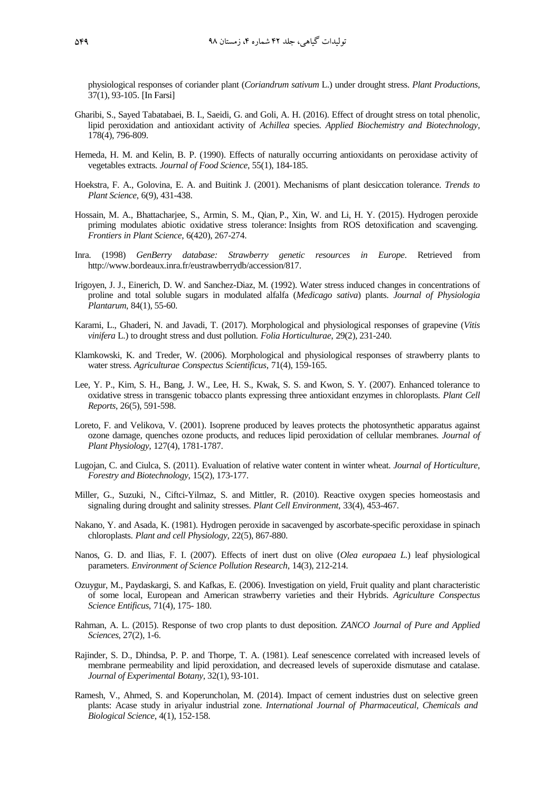physiological responses of coriander plant (*Coriandrum sativum* L.) under drought stress. *Plant Productions*, 37(1), 93-105. [In Farsi]

- Gharibi, S., Sayed Tabatabaei, B. I., Saeidi, G. and Goli, A. H. (2016). Effect of drought stress on total phenolic, lipid peroxidation and antioxidant activity of *Achillea* species. *Applied Biochemistry and Biotechnology*, 178(4), 796-809.
- Hemeda, H. M. and Kelin, B. P. (1990). Effects of naturally occurring antioxidants on peroxidase activity of vegetables extracts. *Journal of Food Science*, 55(1), 184-185.
- Hoekstra, F. A., Golovina, E. A. and Buitink J. (2001). Mechanisms of plant desiccation tolerance. *Trends to Plant Science*, 6(9), 431-438.
- Hossain, M. A., Bhattacharjee, S., Armin, S. M., Qian, P., Xin, W. and Li, H. Y. (2015). Hydrogen peroxide priming modulates abiotic oxidative stress tolerance: Insights from ROS detoxification and scavenging. *Frontiers in Plant Science*, 6(420), 267-274.
- Inra. (1998) *GenBerry database: Strawberry genetic resources in Europe*. Retrieved from [http://www.bordeaux.inra.fr/eustrawberrydb/accession/817.](http://www.bordeaux.inra.fr/eustrawberrydb/accession/817)
- Irigoyen, J. J., Einerich, D. W. and Sanchez-Diaz, M. (1992). Water stress induced changes in concentrations of proline and total soluble sugars in modulated alfalfa (*Medicago sativa*) plants. *Journal of Physiologia Plantarum*, 84(1), 55-60.
- Karami, L., Ghaderi, N. and Javadi, T. (2017). [Morphological and physiological responses of grapevine \(](https://www.degruyter.com/view/j/fhort.2017.29.issue-2/fhort-2017-0021/fhort-2017-0021.xml)*Vitis vinifera* [L.\) to drought stress and dust pollution.](https://www.degruyter.com/view/j/fhort.2017.29.issue-2/fhort-2017-0021/fhort-2017-0021.xml) *Folia Horticulturae*, 29(2), 231-240.
- Klamkowski, K. and Treder, W. (2006). Morphological and physiological responses of strawberry plants to water stress. *Agriculturae Conspectus Scientificus*, 71(4), 159-165.
- Lee, Y. P., Kim, S. H., Bang, J. W., Lee, H. S., Kwak, S. S. and Kwon, S. Y. (2007). Enhanced tolerance to oxidative stress in transgenic tobacco plants expressing three antioxidant enzymes in chloroplasts. *Plant Cell Reports*, 26(5), 591-598.
- Loreto, F. and Velikova, V. (2001). Isoprene produced by leaves protects the photosynthetic apparatus against ozone damage, quenches ozone products, and reduces lipid peroxidation of cellular membranes. *Journal of Plant Physiology*, 127(4), 1781-1787.
- Lugojan, C. and Ciulca, S. (2011). Evaluation of relative water content in winter wheat. *Journal of Horticulture, Forestry and Biotechnology*, 15(2), 173-177.
- Miller, G., Suzuki, N., Ciftci-Yilmaz, S. and Mittler, R. (2010). Reactive oxygen species homeostasis and signaling during drought and salinity stresses. *Plant Cell Environment*, 33(4), 453-467.
- Nakano, Y. and Asada, K. (1981). Hydrogen peroxide in sacavenged by ascorbate-specific peroxidase in spinach chloroplasts. *Plant and cell Physiology*, 22(5), 867-880.
- Nanos, G. D. and Ilias, F. I. (2007). Effects of inert dust on olive (*Olea europaea L.*) leaf physiological parameters. *Environment of Science Pollution Research*, 14(3), 212-214.
- Ozuygur, M., Paydaskargi, S. and Kafkas, E. (2006). Investigation on yield, Fruit quality and plant characteristic of some local, European and American strawberry varieties and their Hybrids. *Agriculture Conspectus Science Entificus*, 71(4), 175- 180.
- Rahman, A. L. (2015). Response of two crop plants to dust deposition. *ZANCO Journal of Pure and Applied Sciences*, 27(2), 1-6.
- Rajinder, S. D., Dhindsa, P. P. and Thorpe, T. A. (1981). Leaf senescence correlated with increased levels of membrane permeability and lipid peroxidation, and decreased levels of superoxide dismutase and catalase. *Journal of Experimental Botany*, 32(1), 93-101.
- Ramesh, V., Ahmed, S. and Koperuncholan, M. (2014). Impact of cement industries dust on selective green plants: Acase study in ariyalur industrial zone. *International Journal of Pharmaceutical, Chemicals and Biological Science*, 4(1), 152-158.